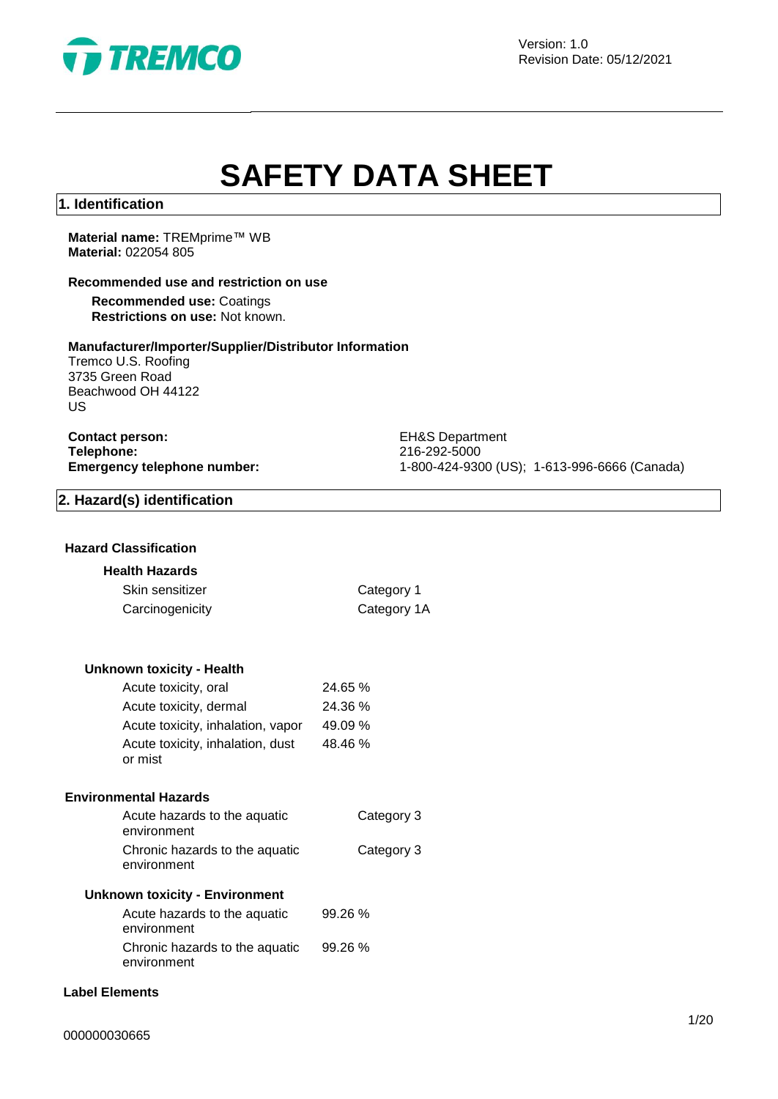

Version: 1.0 Revision Date: 05/12/2021

# **SAFETY DATA SHEET**

#### **1. Identification**

**Material name:** TREMprime™ WB **Material:** 022054 805

#### **Recommended use and restriction on use**

**Recommended use:** Coatings **Restrictions on use:** Not known.

#### **Manufacturer/Importer/Supplier/Distributor Information**

Tremco U.S. Roofing 3735 Green Road Beachwood OH 44122 US

**Contact person:** EH&S Department **Telephone:** 216-292-5000<br> **Emergency telephone number:** 216-292-5000<br>
21-800-424-930

**Emergency telephone number:** 1-800-424-9300 (US); 1-613-996-6666 (Canada)

# **2. Hazard(s) identification**

#### **Hazard Classification**

#### **Health Hazards**

| Skin sensitizer | Category 1  |
|-----------------|-------------|
| Carcinogenicity | Category 1A |

#### **Unknown toxicity - Health**

| Acute toxicity, oral                        | 24.65 % |
|---------------------------------------------|---------|
| Acute toxicity, dermal                      | 24.36 % |
| Acute toxicity, inhalation, vapor           | 49.09 % |
| Acute toxicity, inhalation, dust<br>or mist | 48.46 % |

#### **Environmental Hazards**

| Acute hazards to the aquatic<br>environment   | Category 3 |
|-----------------------------------------------|------------|
| Chronic hazards to the aquatic<br>environment | Category 3 |

# **Unknown toxicity - Environment**

| Acute hazards to the aquatic   | 99.26%  |
|--------------------------------|---------|
| environment                    |         |
| Chronic hazards to the aquatic | 99.26 % |
| environment                    |         |

# **Label Elements**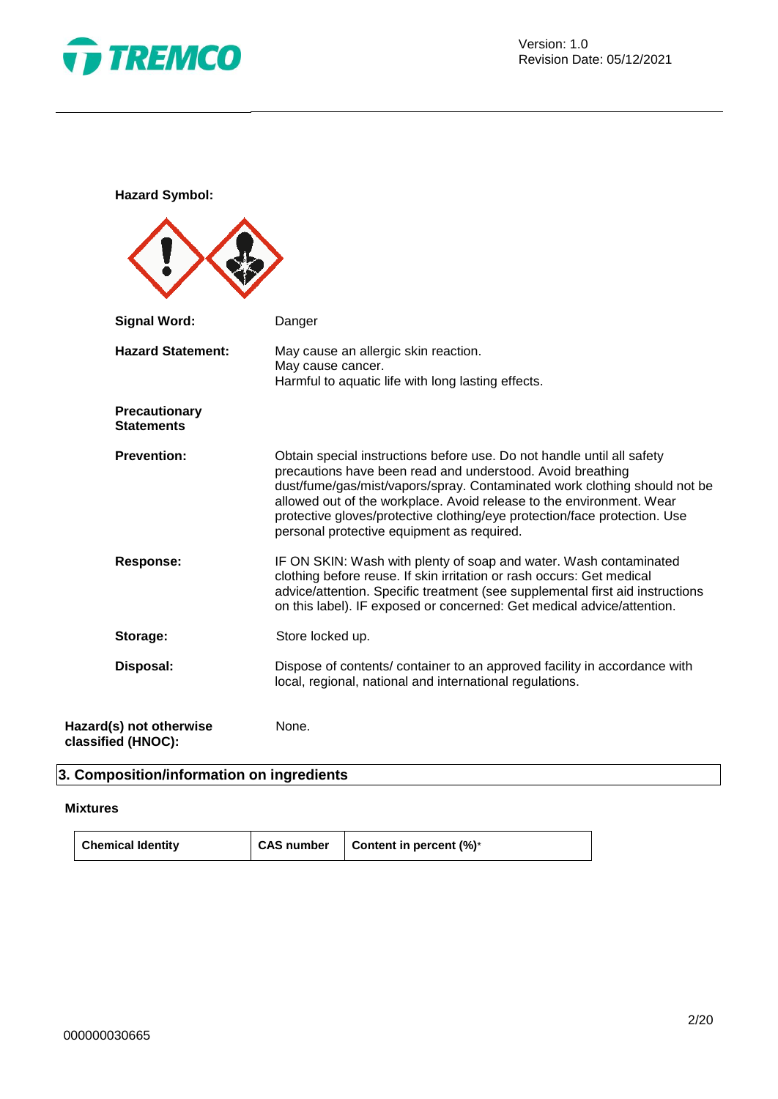

**Hazard Symbol:**

| <b>Signal Word:</b>                           | Danger                                                                                                                                                                                                                                                                                                                                                                                                               |
|-----------------------------------------------|----------------------------------------------------------------------------------------------------------------------------------------------------------------------------------------------------------------------------------------------------------------------------------------------------------------------------------------------------------------------------------------------------------------------|
| <b>Hazard Statement:</b>                      | May cause an allergic skin reaction.<br>May cause cancer.<br>Harmful to aquatic life with long lasting effects.                                                                                                                                                                                                                                                                                                      |
| Precautionary<br><b>Statements</b>            |                                                                                                                                                                                                                                                                                                                                                                                                                      |
| <b>Prevention:</b>                            | Obtain special instructions before use. Do not handle until all safety<br>precautions have been read and understood. Avoid breathing<br>dust/fume/gas/mist/vapors/spray. Contaminated work clothing should not be<br>allowed out of the workplace. Avoid release to the environment. Wear<br>protective gloves/protective clothing/eye protection/face protection. Use<br>personal protective equipment as required. |
| <b>Response:</b>                              | IF ON SKIN: Wash with plenty of soap and water. Wash contaminated<br>clothing before reuse. If skin irritation or rash occurs: Get medical<br>advice/attention. Specific treatment (see supplemental first aid instructions<br>on this label). IF exposed or concerned: Get medical advice/attention.                                                                                                                |
| Storage:                                      | Store locked up.                                                                                                                                                                                                                                                                                                                                                                                                     |
| Disposal:                                     | Dispose of contents/ container to an approved facility in accordance with<br>local, regional, national and international regulations.                                                                                                                                                                                                                                                                                |
| Hazard(s) not otherwise<br>classified (HNOC): | None.                                                                                                                                                                                                                                                                                                                                                                                                                |

# **3. Composition/information on ingredients**

# **Mixtures**

| <b>Chemical Identity</b> | <b>CAS number</b> | Content in percent (%)* |
|--------------------------|-------------------|-------------------------|
|--------------------------|-------------------|-------------------------|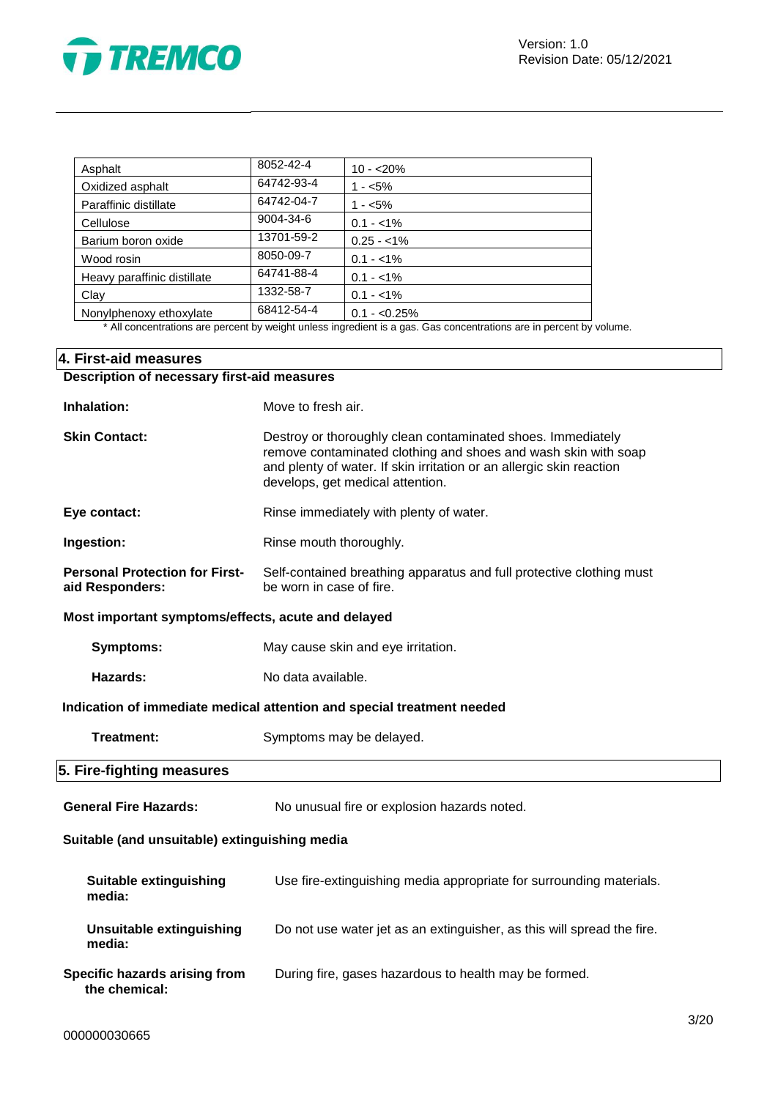

| Asphalt                     | 8052-42-4  | $10 - 20%$     |
|-----------------------------|------------|----------------|
| Oxidized asphalt            | 64742-93-4 | $1 - 5%$       |
| Paraffinic distillate       | 64742-04-7 | $1 - 5%$       |
| Cellulose                   | 9004-34-6  | $0.1 - 1\%$    |
| Barium boron oxide          | 13701-59-2 | $0.25 - 1\%$   |
| Wood rosin                  | 8050-09-7  | $0.1 - 1\%$    |
| Heavy paraffinic distillate | 64741-88-4 | $0.1 - 1\%$    |
| Clay                        | 1332-58-7  | $0.1 - 1\%$    |
| Nonylphenoxy ethoxylate     | 68412-54-4 | $0.1 - 0.25\%$ |

\* All concentrations are percent by weight unless ingredient is a gas. Gas concentrations are in percent by volume.

# **4. First-aid measures Description of necessary first-aid measures**

| Inhalation:                                              | Move to fresh air.                                                                                                                                                                                                                        |  |  |
|----------------------------------------------------------|-------------------------------------------------------------------------------------------------------------------------------------------------------------------------------------------------------------------------------------------|--|--|
| <b>Skin Contact:</b>                                     | Destroy or thoroughly clean contaminated shoes. Immediately<br>remove contaminated clothing and shoes and wash skin with soap<br>and plenty of water. If skin irritation or an allergic skin reaction<br>develops, get medical attention. |  |  |
| Eye contact:                                             | Rinse immediately with plenty of water.                                                                                                                                                                                                   |  |  |
| Ingestion:                                               | Rinse mouth thoroughly.                                                                                                                                                                                                                   |  |  |
| <b>Personal Protection for First-</b><br>aid Responders: | Self-contained breathing apparatus and full protective clothing must<br>be worn in case of fire.                                                                                                                                          |  |  |
| Most important symptoms/effects, acute and delayed       |                                                                                                                                                                                                                                           |  |  |
| <b>Symptoms:</b>                                         | May cause skin and eye irritation.                                                                                                                                                                                                        |  |  |
| Hazards:                                                 | No data available.                                                                                                                                                                                                                        |  |  |
|                                                          | Indication of immediate medical attention and special treatment needed                                                                                                                                                                    |  |  |
| Treatment:                                               | Symptoms may be delayed.                                                                                                                                                                                                                  |  |  |
| 5. Fire-fighting measures                                |                                                                                                                                                                                                                                           |  |  |
| <b>General Fire Hazards:</b>                             | No unusual fire or explosion hazards noted.                                                                                                                                                                                               |  |  |
| Suitable (and unsuitable) extinguishing media            |                                                                                                                                                                                                                                           |  |  |
| <b>Suitable extinguishing</b><br>media:                  | Use fire-extinguishing media appropriate for surrounding materials.                                                                                                                                                                       |  |  |
| <b>Unsuitable extinguishing</b><br>media:                | Do not use water jet as an extinguisher, as this will spread the fire.                                                                                                                                                                    |  |  |
| Specific hazards arising from<br>the chemical:           | During fire, gases hazardous to health may be formed.                                                                                                                                                                                     |  |  |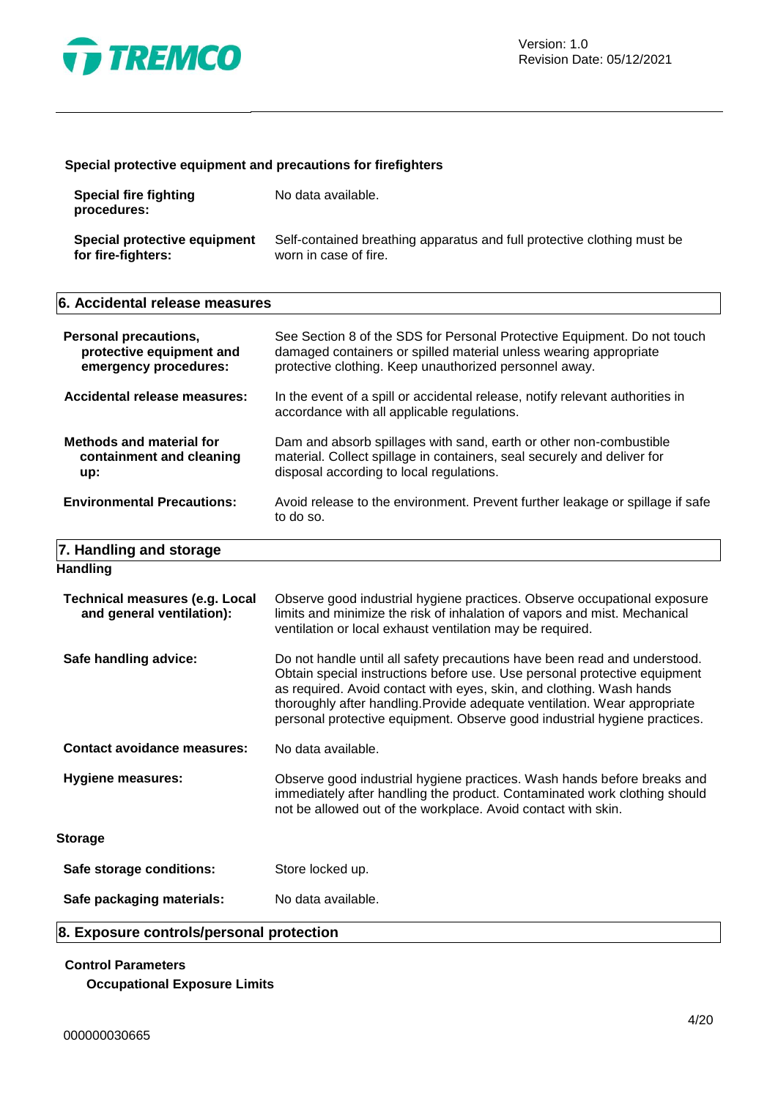

# **Special protective equipment and precautions for firefighters**

| Special fire fighting<br>procedures: | No data available.                                                      |
|--------------------------------------|-------------------------------------------------------------------------|
| Special protective equipment         | Self-contained breathing apparatus and full protective clothing must be |
| for fire-fighters:                   | worn in case of fire.                                                   |

#### **6. Accidental release measures**

| <b>Personal precautions,</b><br>protective equipment and<br>emergency procedures: | See Section 8 of the SDS for Personal Protective Equipment. Do not touch<br>damaged containers or spilled material unless wearing appropriate<br>protective clothing. Keep unauthorized personnel away.                                                                                                                                                                                  |
|-----------------------------------------------------------------------------------|------------------------------------------------------------------------------------------------------------------------------------------------------------------------------------------------------------------------------------------------------------------------------------------------------------------------------------------------------------------------------------------|
| <b>Accidental release measures:</b>                                               | In the event of a spill or accidental release, notify relevant authorities in<br>accordance with all applicable regulations.                                                                                                                                                                                                                                                             |
| <b>Methods and material for</b><br>containment and cleaning<br>up:                | Dam and absorb spillages with sand, earth or other non-combustible<br>material. Collect spillage in containers, seal securely and deliver for<br>disposal according to local regulations.                                                                                                                                                                                                |
| <b>Environmental Precautions:</b>                                                 | Avoid release to the environment. Prevent further leakage or spillage if safe<br>to do so.                                                                                                                                                                                                                                                                                               |
| 7. Handling and storage                                                           |                                                                                                                                                                                                                                                                                                                                                                                          |
| <b>Handling</b>                                                                   |                                                                                                                                                                                                                                                                                                                                                                                          |
| <b>Technical measures (e.g. Local</b><br>and general ventilation):                | Observe good industrial hygiene practices. Observe occupational exposure<br>limits and minimize the risk of inhalation of vapors and mist. Mechanical<br>ventilation or local exhaust ventilation may be required.                                                                                                                                                                       |
| Safe handling advice:                                                             | Do not handle until all safety precautions have been read and understood.<br>Obtain special instructions before use. Use personal protective equipment<br>as required. Avoid contact with eyes, skin, and clothing. Wash hands<br>thoroughly after handling. Provide adequate ventilation. Wear appropriate<br>personal protective equipment. Observe good industrial hygiene practices. |
| <b>Contact avoidance measures:</b>                                                | No data available.                                                                                                                                                                                                                                                                                                                                                                       |
| <b>Hygiene measures:</b>                                                          | Observe good industrial hygiene practices. Wash hands before breaks and<br>immediately after handling the product. Contaminated work clothing should<br>not be allowed out of the workplace. Avoid contact with skin.                                                                                                                                                                    |
| <b>Storage</b>                                                                    |                                                                                                                                                                                                                                                                                                                                                                                          |
| Safe storage conditions:                                                          | Store locked up.                                                                                                                                                                                                                                                                                                                                                                         |
| Safe packaging materials:                                                         | No data available.                                                                                                                                                                                                                                                                                                                                                                       |
|                                                                                   |                                                                                                                                                                                                                                                                                                                                                                                          |

# **8. Exposure controls/personal protection**

# **Control Parameters**

**Occupational Exposure Limits**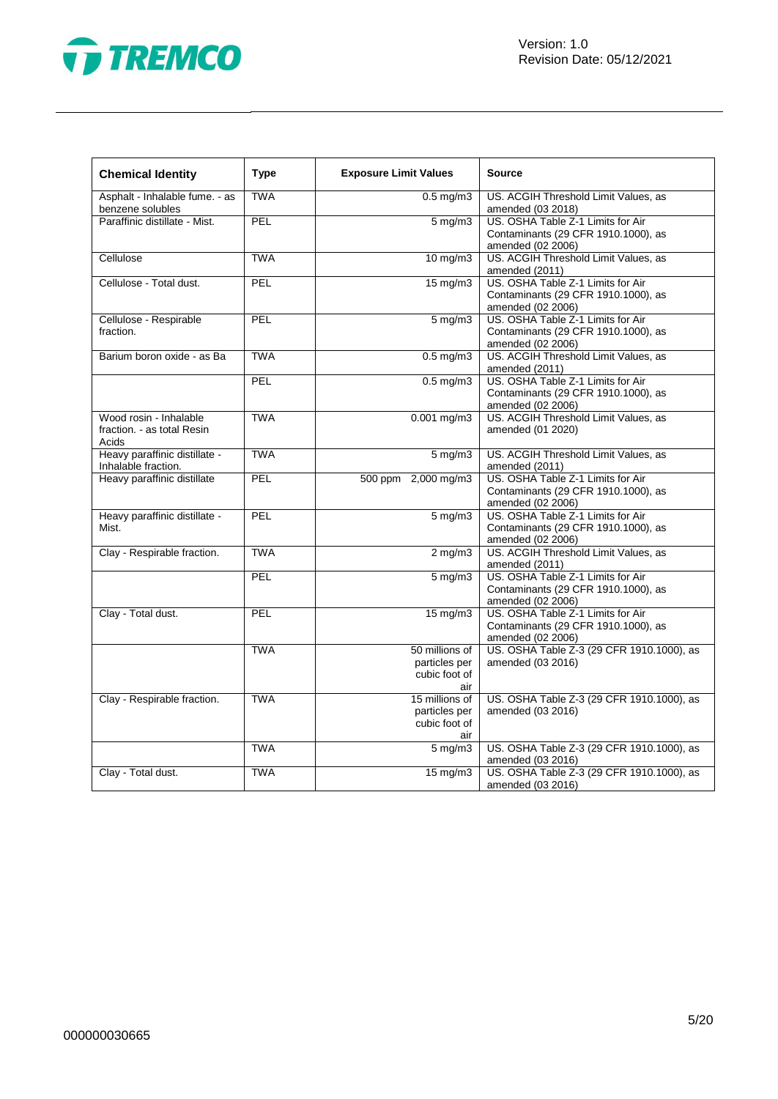

| <b>Chemical Identity</b>                                      | <b>Type</b> | <b>Exposure Limit Values</b>                            | <b>Source</b>                                                                                 |
|---------------------------------------------------------------|-------------|---------------------------------------------------------|-----------------------------------------------------------------------------------------------|
| Asphalt - Inhalable fume. - as<br>benzene solubles            | <b>TWA</b>  | $0.5 \,\mathrm{mg/m}$                                   | US. ACGIH Threshold Limit Values, as<br>amended (03 2018)                                     |
| Paraffinic distillate - Mist.                                 | PEL         | $5 \,\mathrm{mg/m}$                                     | US. OSHA Table Z-1 Limits for Air<br>Contaminants (29 CFR 1910.1000), as<br>amended (02 2006) |
| Cellulose                                                     | <b>TWA</b>  | 10 mg/m3                                                | US. ACGIH Threshold Limit Values, as<br>amended (2011)                                        |
| Cellulose - Total dust.                                       | <b>PEL</b>  | $15 \text{ mg/m}$                                       | US. OSHA Table Z-1 Limits for Air<br>Contaminants (29 CFR 1910.1000), as<br>amended (02 2006) |
| Cellulose - Respirable<br>fraction.                           | PEL         | $5$ mg/m $3$                                            | US. OSHA Table Z-1 Limits for Air<br>Contaminants (29 CFR 1910.1000), as<br>amended (02 2006) |
| Barium boron oxide - as Ba                                    | <b>TWA</b>  | $0.5$ mg/m $3$                                          | US. ACGIH Threshold Limit Values, as<br>amended (2011)                                        |
|                                                               | PEL         | $0.5$ mg/m $3$                                          | US. OSHA Table Z-1 Limits for Air<br>Contaminants (29 CFR 1910.1000), as<br>amended (02 2006) |
| Wood rosin - Inhalable<br>fraction. - as total Resin<br>Acids | <b>TWA</b>  | $0.001$ mg/m3                                           | US. ACGIH Threshold Limit Values, as<br>amended (01 2020)                                     |
| Heavy paraffinic distillate -<br>Inhalable fraction.          | <b>TWA</b>  | $5 \text{ mg/m}$                                        | US. ACGIH Threshold Limit Values, as<br>amended (2011)                                        |
| Heavy paraffinic distillate                                   | PEL         | 500 ppm 2,000 mg/m3                                     | US. OSHA Table Z-1 Limits for Air<br>Contaminants (29 CFR 1910.1000), as<br>amended (02 2006) |
| Heavy paraffinic distillate -<br>Mist.                        | PEL         | $5 \overline{\mathrm{mg}}$ m3                           | US. OSHA Table Z-1 Limits for Air<br>Contaminants (29 CFR 1910.1000), as<br>amended (02 2006) |
| Clay - Respirable fraction.                                   | <b>TWA</b>  | $2 \text{ mg/m}$                                        | US. ACGIH Threshold Limit Values, as<br>amended (2011)                                        |
|                                                               | PEL         | $5 \,\mathrm{mg/m}$                                     | US. OSHA Table Z-1 Limits for Air<br>Contaminants (29 CFR 1910.1000), as<br>amended (02 2006) |
| Clay - Total dust.                                            | PEL         | 15 mg/m3                                                | US. OSHA Table Z-1 Limits for Air<br>Contaminants (29 CFR 1910.1000), as<br>amended (02 2006) |
|                                                               | <b>TWA</b>  | 50 millions of<br>particles per<br>cubic foot of<br>air | US. OSHA Table Z-3 (29 CFR 1910.1000), as<br>amended (03 2016)                                |
| Clay - Respirable fraction.                                   | <b>TWA</b>  | 15 millions of<br>particles per<br>cubic foot of<br>air | US. OSHA Table Z-3 (29 CFR 1910.1000), as<br>amended (03 2016)                                |
|                                                               | <b>TWA</b>  | $5 \text{ mg/m}$ 3                                      | US. OSHA Table Z-3 (29 CFR 1910.1000), as<br>amended (03 2016)                                |
| Clay - Total dust.                                            | <b>TWA</b>  | $15 \text{ mg/m}$                                       | US. OSHA Table Z-3 (29 CFR 1910.1000), as<br>amended (03 2016)                                |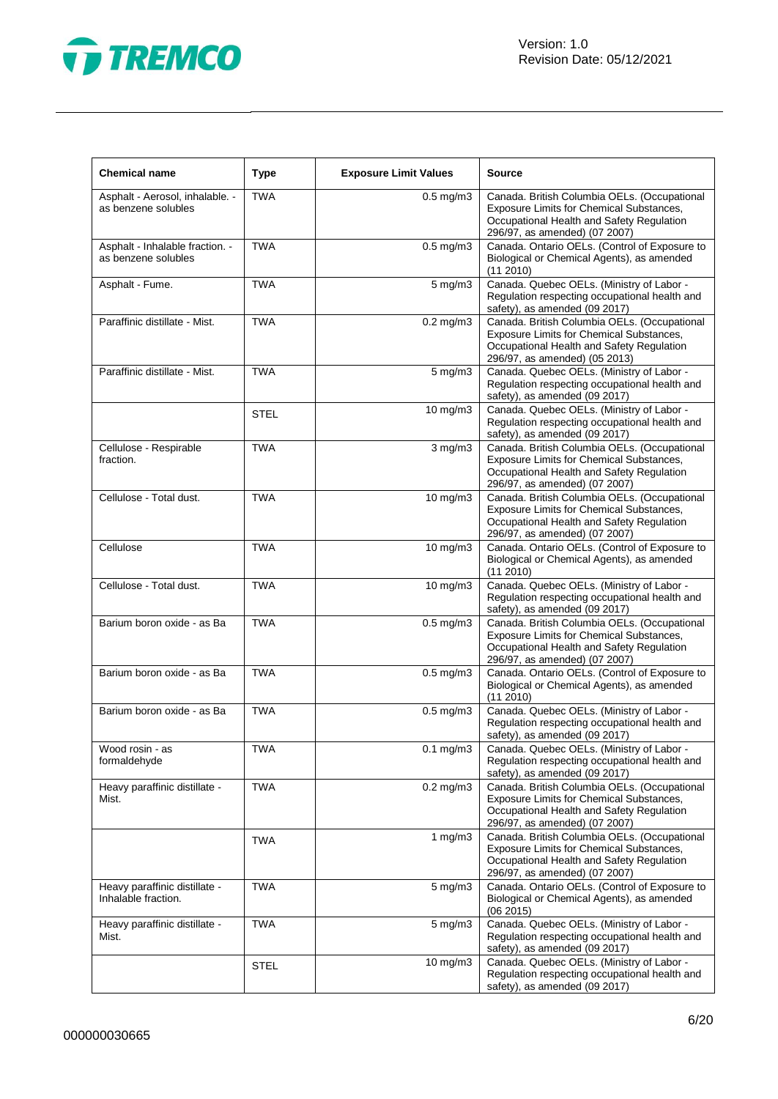

| <b>Chemical name</b>                                   | <b>Type</b> | <b>Exposure Limit Values</b> | <b>Source</b>                                                                                                                                                          |
|--------------------------------------------------------|-------------|------------------------------|------------------------------------------------------------------------------------------------------------------------------------------------------------------------|
| Asphalt - Aerosol, inhalable. -<br>as benzene solubles | <b>TWA</b>  | $0.5$ mg/m $3$               | Canada. British Columbia OELs. (Occupational<br>Exposure Limits for Chemical Substances,<br>Occupational Health and Safety Regulation<br>296/97, as amended) (07 2007) |
| Asphalt - Inhalable fraction. -<br>as benzene solubles | <b>TWA</b>  | $0.5$ mg/m $3$               | Canada. Ontario OELs. (Control of Exposure to<br>Biological or Chemical Agents), as amended<br>$(11\ 2010)$                                                            |
| Asphalt - Fume.                                        | <b>TWA</b>  | 5 mg/m3                      | Canada. Quebec OELs. (Ministry of Labor -<br>Regulation respecting occupational health and<br>safety), as amended (09 2017)                                            |
| Paraffinic distillate - Mist.                          | <b>TWA</b>  | $0.2$ mg/m $3$               | Canada. British Columbia OELs. (Occupational<br>Exposure Limits for Chemical Substances,<br>Occupational Health and Safety Regulation<br>296/97, as amended) (05 2013) |
| Paraffinic distillate - Mist.                          | <b>TWA</b>  | 5 mg/m3                      | Canada. Quebec OELs. (Ministry of Labor -<br>Regulation respecting occupational health and<br>safety), as amended (09 2017)                                            |
|                                                        | <b>STEL</b> | 10 mg/m3                     | Canada. Quebec OELs. (Ministry of Labor -<br>Regulation respecting occupational health and<br>safety), as amended (09 2017)                                            |
| Cellulose - Respirable<br>fraction.                    | <b>TWA</b>  | $3$ mg/m $3$                 | Canada. British Columbia OELs. (Occupational<br>Exposure Limits for Chemical Substances,<br>Occupational Health and Safety Regulation<br>296/97, as amended) (07 2007) |
| Cellulose - Total dust.                                | <b>TWA</b>  | 10 mg/m3                     | Canada. British Columbia OELs. (Occupational<br>Exposure Limits for Chemical Substances,<br>Occupational Health and Safety Regulation<br>296/97, as amended) (07 2007) |
| Cellulose                                              | <b>TWA</b>  | $10 \text{ mg/m}$            | Canada. Ontario OELs. (Control of Exposure to<br>Biological or Chemical Agents), as amended<br>(112010)                                                                |
| Cellulose - Total dust.                                | <b>TWA</b>  | 10 mg/m3                     | Canada. Quebec OELs. (Ministry of Labor -<br>Regulation respecting occupational health and<br>safety), as amended (09 2017)                                            |
| Barium boron oxide - as Ba                             | <b>TWA</b>  | $0.5$ mg/m $3$               | Canada. British Columbia OELs. (Occupational<br>Exposure Limits for Chemical Substances,<br>Occupational Health and Safety Regulation<br>296/97, as amended) (07 2007) |
| Barium boron oxide - as Ba                             | <b>TWA</b>  | $0.5$ mg/m $3$               | Canada. Ontario OELs. (Control of Exposure to<br>Biological or Chemical Agents), as amended<br>(112010)                                                                |
| Barium boron oxide - as Ba                             | <b>TWA</b>  | $0.5$ mg/m $3$               | Canada. Quebec OELs. (Ministry of Labor -<br>Regulation respecting occupational health and<br>safety), as amended (09 2017)                                            |
| Wood rosin - as<br>formaldehyde                        | TWA         | $0.1$ mg/m $3$               | Canada. Quebec OELs. (Ministry of Labor -<br>Regulation respecting occupational health and<br>safety), as amended (09 2017)                                            |
| Heavy paraffinic distillate -<br>Mist.                 | <b>TWA</b>  | $0.2$ mg/m $3$               | Canada. British Columbia OELs. (Occupational<br>Exposure Limits for Chemical Substances,<br>Occupational Health and Safety Regulation<br>296/97, as amended) (07 2007) |
|                                                        | <b>TWA</b>  | 1 $mg/m3$                    | Canada. British Columbia OELs. (Occupational<br>Exposure Limits for Chemical Substances,<br>Occupational Health and Safety Regulation<br>296/97, as amended) (07 2007) |
| Heavy paraffinic distillate -<br>Inhalable fraction.   | <b>TWA</b>  | $5 \text{ mg/m}$             | Canada. Ontario OELs. (Control of Exposure to<br>Biological or Chemical Agents), as amended<br>(06 2015)                                                               |
| Heavy paraffinic distillate -<br>Mist.                 | <b>TWA</b>  | 5 mg/m3                      | Canada. Quebec OELs. (Ministry of Labor -<br>Regulation respecting occupational health and<br>safety), as amended (09 2017)                                            |
|                                                        | STEL        | $10 \text{ mg/m}$            | Canada. Quebec OELs. (Ministry of Labor -<br>Regulation respecting occupational health and<br>safety), as amended (09 2017)                                            |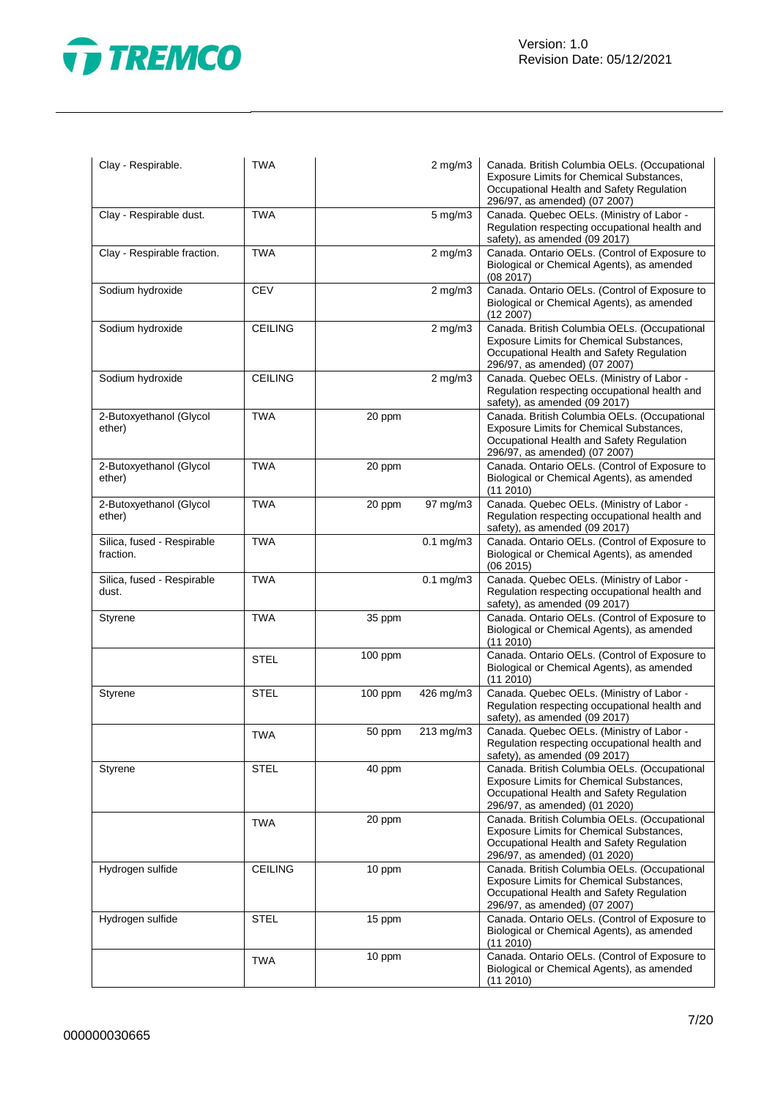

| Clay - Respirable.                      | <b>TWA</b>     |         | $2$ mg/m $3$   | Canada. British Columbia OELs. (Occupational<br>Exposure Limits for Chemical Substances,<br>Occupational Health and Safety Regulation<br>296/97, as amended) (07 2007) |
|-----------------------------------------|----------------|---------|----------------|------------------------------------------------------------------------------------------------------------------------------------------------------------------------|
| Clay - Respirable dust.                 | <b>TWA</b>     |         | $5$ mg/m $3$   | Canada. Quebec OELs. (Ministry of Labor -<br>Regulation respecting occupational health and<br>safety), as amended (09 2017)                                            |
| Clay - Respirable fraction.             | <b>TWA</b>     |         | $2$ mg/m $3$   | Canada. Ontario OELs. (Control of Exposure to<br>Biological or Chemical Agents), as amended<br>(08 2017)                                                               |
| Sodium hydroxide                        | <b>CEV</b>     |         | $2$ mg/m $3$   | Canada. Ontario OELs. (Control of Exposure to<br>Biological or Chemical Agents), as amended<br>$(12\ 2007)$                                                            |
| Sodium hydroxide                        | <b>CEILING</b> |         | $2$ mg/m $3$   | Canada. British Columbia OELs. (Occupational<br>Exposure Limits for Chemical Substances,<br>Occupational Health and Safety Regulation<br>296/97, as amended) (07 2007) |
| Sodium hydroxide                        | <b>CEILING</b> |         | $2$ mg/m $3$   | Canada. Quebec OELs. (Ministry of Labor -<br>Regulation respecting occupational health and<br>safety), as amended (09 2017)                                            |
| 2-Butoxyethanol (Glycol<br>ether)       | <b>TWA</b>     | 20 ppm  |                | Canada. British Columbia OELs. (Occupational<br>Exposure Limits for Chemical Substances,<br>Occupational Health and Safety Regulation<br>296/97, as amended) (07 2007) |
| 2-Butoxyethanol (Glycol<br>ether)       | <b>TWA</b>     | 20 ppm  |                | Canada. Ontario OELs. (Control of Exposure to<br>Biological or Chemical Agents), as amended<br>(11 2010)                                                               |
| 2-Butoxyethanol (Glycol<br>ether)       | <b>TWA</b>     | 20 ppm  | 97 mg/m3       | Canada. Quebec OELs. (Ministry of Labor -<br>Regulation respecting occupational health and<br>safety), as amended (09 2017)                                            |
| Silica, fused - Respirable<br>fraction. | <b>TWA</b>     |         | $0.1$ mg/m $3$ | Canada. Ontario OELs. (Control of Exposure to<br>Biological or Chemical Agents), as amended<br>(06 2015)                                                               |
| Silica, fused - Respirable<br>dust.     | <b>TWA</b>     |         | $0.1$ mg/m $3$ | Canada. Quebec OELs. (Ministry of Labor -<br>Regulation respecting occupational health and<br>safety), as amended (09 2017)                                            |
| Styrene                                 | TWA            | 35 ppm  |                | Canada. Ontario OELs. (Control of Exposure to<br>Biological or Chemical Agents), as amended<br>(11 2010)                                                               |
|                                         | STEL           | 100 ppm |                | Canada. Ontario OELs. (Control of Exposure to<br>Biological or Chemical Agents), as amended<br>(112010)                                                                |
| Styrene                                 | <b>STEL</b>    | 100 ppm | 426 mg/m3      | Canada. Quebec OELs. (Ministry of Labor -<br>Regulation respecting occupational health and<br>safety), as amended (09 2017)                                            |
|                                         | <b>TWA</b>     | 50 ppm  | 213 mg/m3      | Canada. Quebec OELs. (Ministry of Labor -<br>Regulation respecting occupational health and<br>safety), as amended (09 2017)                                            |
| Styrene                                 | <b>STEL</b>    | 40 ppm  |                | Canada. British Columbia OELs. (Occupational<br>Exposure Limits for Chemical Substances,<br>Occupational Health and Safety Regulation<br>296/97, as amended) (01 2020) |
|                                         | <b>TWA</b>     | 20 ppm  |                | Canada. British Columbia OELs. (Occupational<br>Exposure Limits for Chemical Substances,<br>Occupational Health and Safety Regulation<br>296/97, as amended) (01 2020) |
| Hydrogen sulfide                        | <b>CEILING</b> | 10 ppm  |                | Canada. British Columbia OELs. (Occupational<br>Exposure Limits for Chemical Substances,<br>Occupational Health and Safety Regulation<br>296/97, as amended) (07 2007) |
| Hydrogen sulfide                        | <b>STEL</b>    | 15 ppm  |                | Canada. Ontario OELs. (Control of Exposure to<br>Biological or Chemical Agents), as amended<br>(11 2010)                                                               |
|                                         | <b>TWA</b>     | 10 ppm  |                | Canada. Ontario OELs. (Control of Exposure to<br>Biological or Chemical Agents), as amended<br>(112010)                                                                |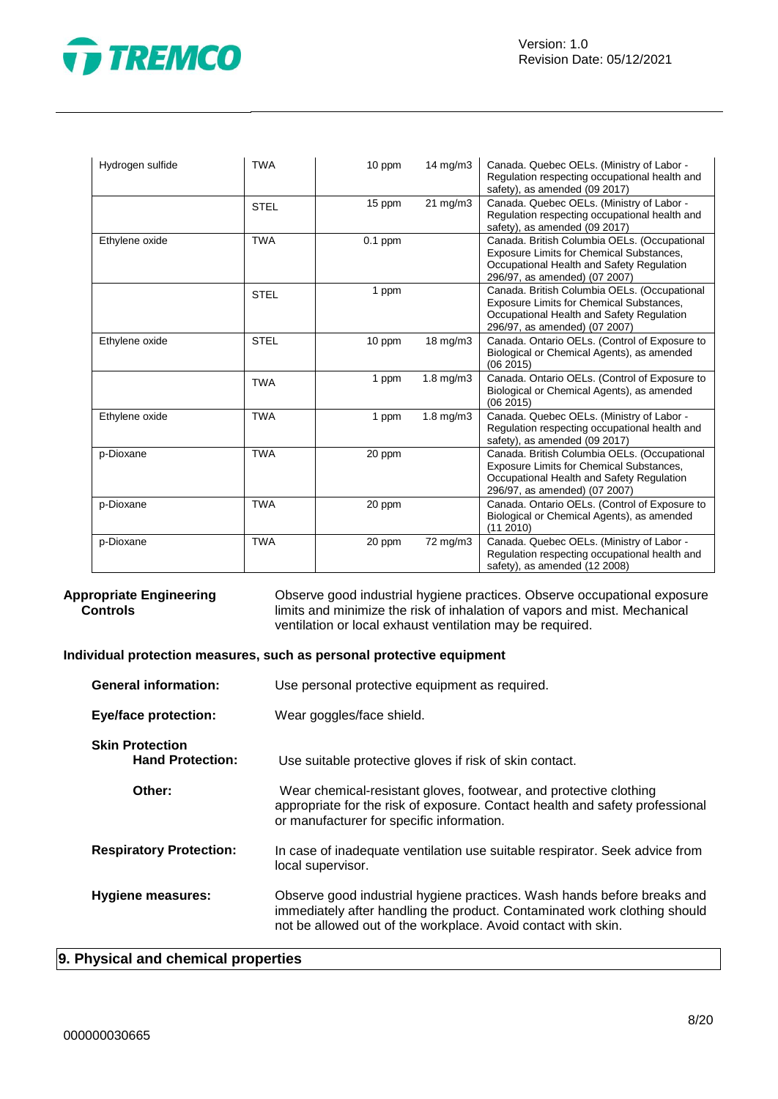

| Hydrogen sulfide | <b>TWA</b>  | 10 ppm    | $14$ mg/m $3$     | Canada. Quebec OELs. (Ministry of Labor -<br>Regulation respecting occupational health and<br>safety), as amended (09 2017)                                                   |
|------------------|-------------|-----------|-------------------|-------------------------------------------------------------------------------------------------------------------------------------------------------------------------------|
|                  | <b>STEL</b> | 15 ppm    | $21 \text{ mg/m}$ | Canada. Quebec OELs. (Ministry of Labor -<br>Regulation respecting occupational health and<br>safety), as amended (09 2017)                                                   |
| Ethylene oxide   | <b>TWA</b>  | $0.1$ ppm |                   | Canada. British Columbia OELs. (Occupational<br><b>Exposure Limits for Chemical Substances,</b><br>Occupational Health and Safety Regulation<br>296/97, as amended) (07 2007) |
|                  | <b>STEL</b> | 1 ppm     |                   | Canada. British Columbia OELs. (Occupational<br><b>Exposure Limits for Chemical Substances,</b><br>Occupational Health and Safety Regulation<br>296/97, as amended) (07 2007) |
| Ethylene oxide   | <b>STEL</b> | 10 ppm    | 18 mg/m3          | Canada. Ontario OELs. (Control of Exposure to<br>Biological or Chemical Agents), as amended<br>(062015)                                                                       |
|                  | <b>TWA</b>  | 1 ppm     | $1.8$ mg/m $3$    | Canada. Ontario OELs. (Control of Exposure to<br>Biological or Chemical Agents), as amended<br>(062015)                                                                       |
| Ethylene oxide   | <b>TWA</b>  | 1 ppm     | 1.8 mg/m3         | Canada. Quebec OELs. (Ministry of Labor -<br>Regulation respecting occupational health and<br>safety), as amended (09 2017)                                                   |
| p-Dioxane        | <b>TWA</b>  | 20 ppm    |                   | Canada. British Columbia OELs. (Occupational<br>Exposure Limits for Chemical Substances,<br>Occupational Health and Safety Regulation<br>296/97, as amended) (07 2007)        |
| p-Dioxane        | <b>TWA</b>  | 20 ppm    |                   | Canada. Ontario OELs. (Control of Exposure to<br>Biological or Chemical Agents), as amended<br>(11 2010)                                                                      |
| p-Dioxane        | <b>TWA</b>  | 20 ppm    | 72 mg/m3          | Canada. Quebec OELs. (Ministry of Labor -<br>Regulation respecting occupational health and<br>safety), as amended (12 2008)                                                   |

#### **Appropriate Engineering Controls**

Observe good industrial hygiene practices. Observe occupational exposure limits and minimize the risk of inhalation of vapors and mist. Mechanical ventilation or local exhaust ventilation may be required.

#### **Individual protection measures, such as personal protective equipment**

| <b>General information:</b>                       | Use personal protective equipment as required.                                                                                                                                                                        |
|---------------------------------------------------|-----------------------------------------------------------------------------------------------------------------------------------------------------------------------------------------------------------------------|
| <b>Eye/face protection:</b>                       | Wear goggles/face shield.                                                                                                                                                                                             |
| <b>Skin Protection</b><br><b>Hand Protection:</b> | Use suitable protective gloves if risk of skin contact.                                                                                                                                                               |
| Other:                                            | Wear chemical-resistant gloves, footwear, and protective clothing<br>appropriate for the risk of exposure. Contact health and safety professional<br>or manufacturer for specific information.                        |
| <b>Respiratory Protection:</b>                    | In case of inadequate ventilation use suitable respirator. Seek advice from<br>local supervisor.                                                                                                                      |
| Hygiene measures:                                 | Observe good industrial hygiene practices. Wash hands before breaks and<br>immediately after handling the product. Contaminated work clothing should<br>not be allowed out of the workplace. Avoid contact with skin. |

# **9. Physical and chemical properties**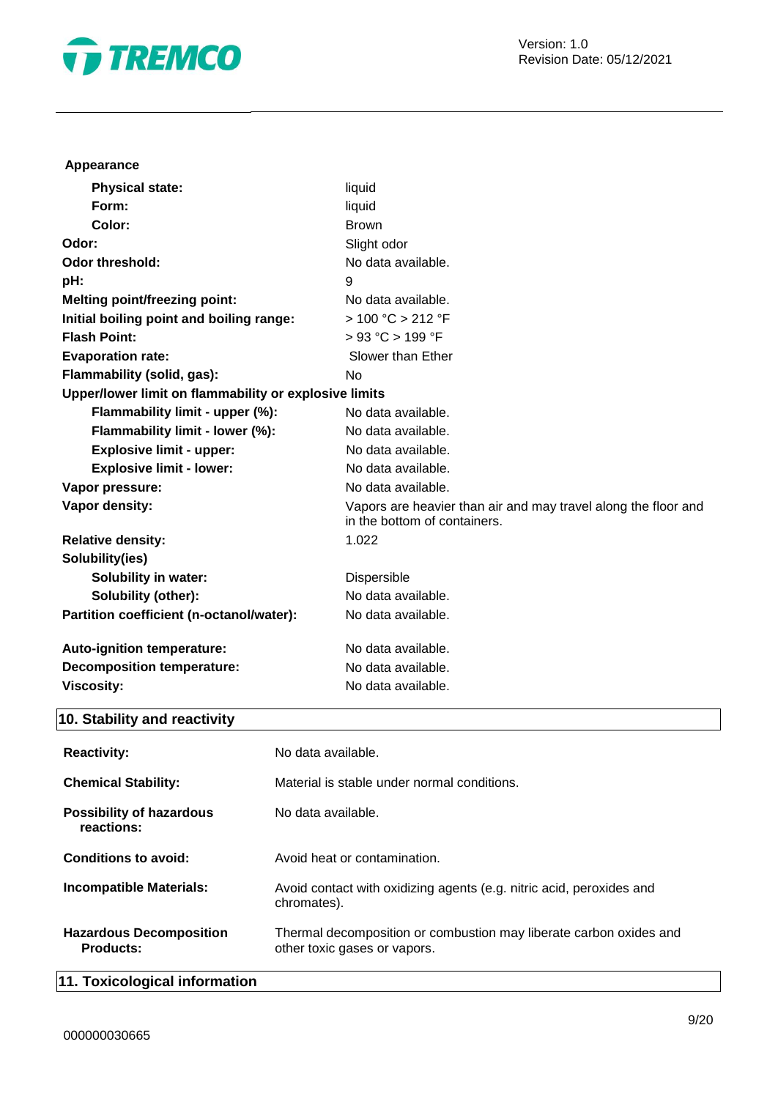

# **Appearance**

| <b>Physical state:</b>                                | liquid                                                                                         |
|-------------------------------------------------------|------------------------------------------------------------------------------------------------|
| Form:                                                 | liquid                                                                                         |
| Color:                                                | <b>Brown</b>                                                                                   |
| Odor:                                                 | Slight odor                                                                                    |
| <b>Odor threshold:</b>                                | No data available.                                                                             |
| pH:                                                   | 9                                                                                              |
| <b>Melting point/freezing point:</b>                  | No data available.                                                                             |
| Initial boiling point and boiling range:              | > 100 °C > 212 °F                                                                              |
| <b>Flash Point:</b>                                   | > 93 °C > 199 °F                                                                               |
| <b>Evaporation rate:</b>                              | Slower than Ether                                                                              |
| Flammability (solid, gas):                            | <b>No</b>                                                                                      |
| Upper/lower limit on flammability or explosive limits |                                                                                                |
| Flammability limit - upper (%):                       | No data available.                                                                             |
| Flammability limit - lower (%):                       | No data available.                                                                             |
| <b>Explosive limit - upper:</b>                       | No data available.                                                                             |
| <b>Explosive limit - lower:</b>                       | No data available.                                                                             |
| Vapor pressure:                                       | No data available.                                                                             |
| Vapor density:                                        | Vapors are heavier than air and may travel along the floor and<br>in the bottom of containers. |
| <b>Relative density:</b>                              | 1.022                                                                                          |
| Solubility(ies)                                       |                                                                                                |
| <b>Solubility in water:</b>                           | Dispersible                                                                                    |
| Solubility (other):                                   | No data available.                                                                             |
| Partition coefficient (n-octanol/water):              | No data available.                                                                             |
| Auto-ignition temperature:                            | No data available.                                                                             |
| <b>Decomposition temperature:</b>                     | No data available.                                                                             |
| <b>Viscosity:</b>                                     | No data available.                                                                             |

# **10. Stability and reactivity**

| <b>Reactivity:</b>                                 | No data available.                                                                                 |
|----------------------------------------------------|----------------------------------------------------------------------------------------------------|
| <b>Chemical Stability:</b>                         | Material is stable under normal conditions.                                                        |
| <b>Possibility of hazardous</b><br>reactions:      | No data available.                                                                                 |
| Conditions to avoid:                               | Avoid heat or contamination.                                                                       |
| <b>Incompatible Materials:</b>                     | Avoid contact with oxidizing agents (e.g. nitric acid, peroxides and<br>chromates).                |
| <b>Hazardous Decomposition</b><br><b>Products:</b> | Thermal decomposition or combustion may liberate carbon oxides and<br>other toxic gases or vapors. |
| 11. Toxicological information                      |                                                                                                    |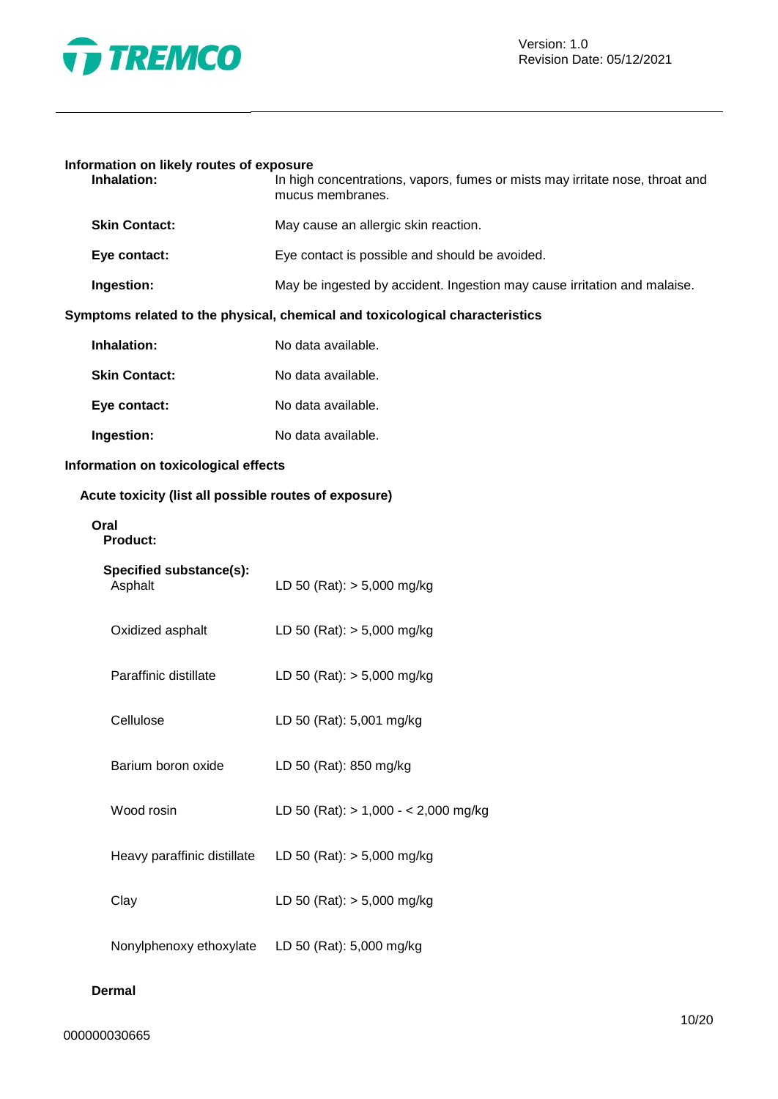

# **Information on likely routes of exposure**

| Inhalation:                                           | In high concentrations, vapors, fumes or mists may irritate nose, throat and<br>mucus membranes. |
|-------------------------------------------------------|--------------------------------------------------------------------------------------------------|
| <b>Skin Contact:</b>                                  | May cause an allergic skin reaction.                                                             |
| Eye contact:                                          | Eye contact is possible and should be avoided.                                                   |
| Ingestion:                                            | May be ingested by accident. Ingestion may cause irritation and malaise.                         |
|                                                       | Symptoms related to the physical, chemical and toxicological characteristics                     |
| Inhalation:                                           | No data available.                                                                               |
| <b>Skin Contact:</b>                                  | No data available.                                                                               |
| Eye contact:                                          | No data available.                                                                               |
| Ingestion:                                            | No data available.                                                                               |
| Information on toxicological effects                  |                                                                                                  |
| Acute toxicity (list all possible routes of exposure) |                                                                                                  |
| Oral<br><b>Product:</b>                               |                                                                                                  |
| Specified substance(s):<br>Asphalt                    | LD 50 (Rat): $> 5,000$ mg/kg                                                                     |
| Oxidized asphalt                                      | LD 50 (Rat): $> 5,000$ mg/kg                                                                     |
| Paraffinic distillate                                 | LD 50 (Rat): $> 5,000$ mg/kg                                                                     |
| Cellulose                                             | LD 50 (Rat): 5,001 mg/kg                                                                         |
| Barium boron oxide                                    | LD 50 (Rat): 850 mg/kg                                                                           |
| Wood rosin                                            | LD 50 (Rat): $> 1,000 - < 2,000$ mg/kg                                                           |
| Heavy paraffinic distillate                           | LD 50 (Rat): $> 5,000$ mg/kg                                                                     |
| Clay                                                  | LD 50 (Rat): $> 5,000$ mg/kg                                                                     |
| Nonylphenoxy ethoxylate                               | LD 50 (Rat): 5,000 mg/kg                                                                         |

# **Dermal**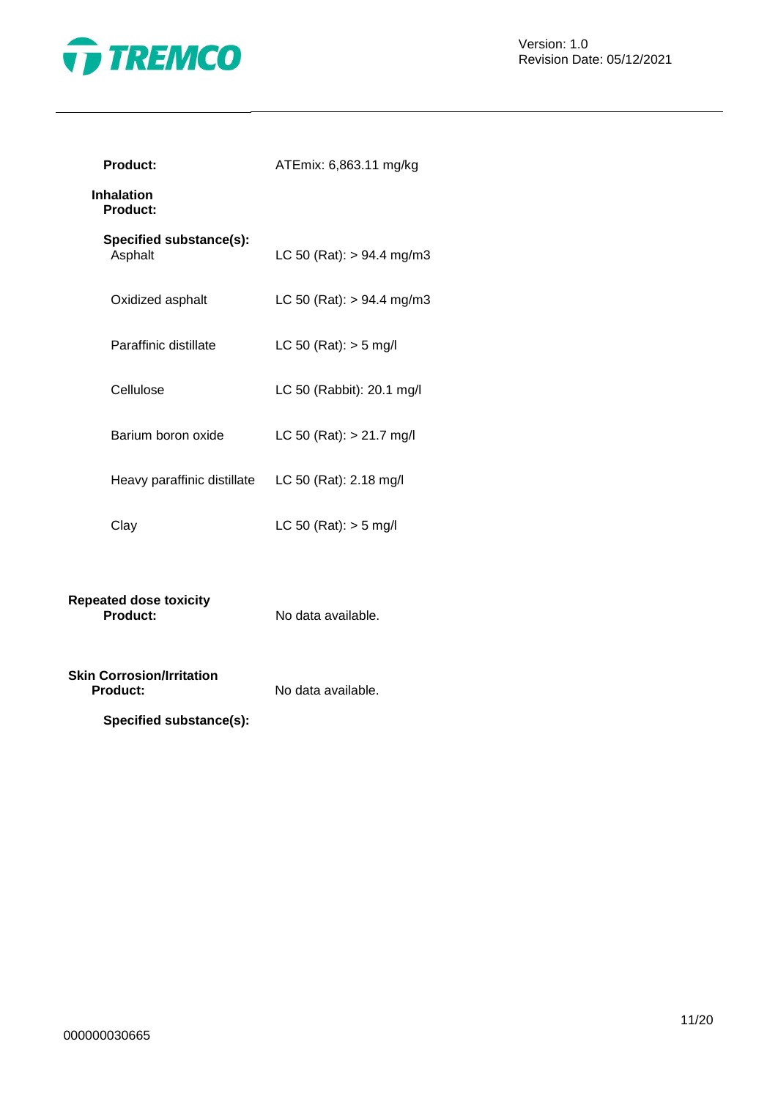

| <b>Product:</b>                                     | ATEmix: 6,863.11 mg/kg      |  |
|-----------------------------------------------------|-----------------------------|--|
| <b>Inhalation</b><br><b>Product:</b>                |                             |  |
| Specified substance(s):<br>Asphalt                  | LC 50 (Rat): $> 94.4$ mg/m3 |  |
| Oxidized asphalt                                    | LC 50 (Rat): $> 94.4$ mg/m3 |  |
| Paraffinic distillate                               | LC 50 (Rat): $>$ 5 mg/l     |  |
| Cellulose                                           | LC 50 (Rabbit): 20.1 mg/l   |  |
| Barium boron oxide                                  | LC 50 (Rat): $> 21.7$ mg/l  |  |
| Heavy paraffinic distillate LC 50 (Rat): 2.18 mg/l  |                             |  |
| Clay                                                | LC 50 (Rat): $>$ 5 mg/l     |  |
|                                                     |                             |  |
| <b>Repeated dose toxicity</b><br>Product:           | No data available.          |  |
| <b>Skin Corrosion/Irritation</b><br><b>Product:</b> | No data available.          |  |
| Specified substance(s):                             |                             |  |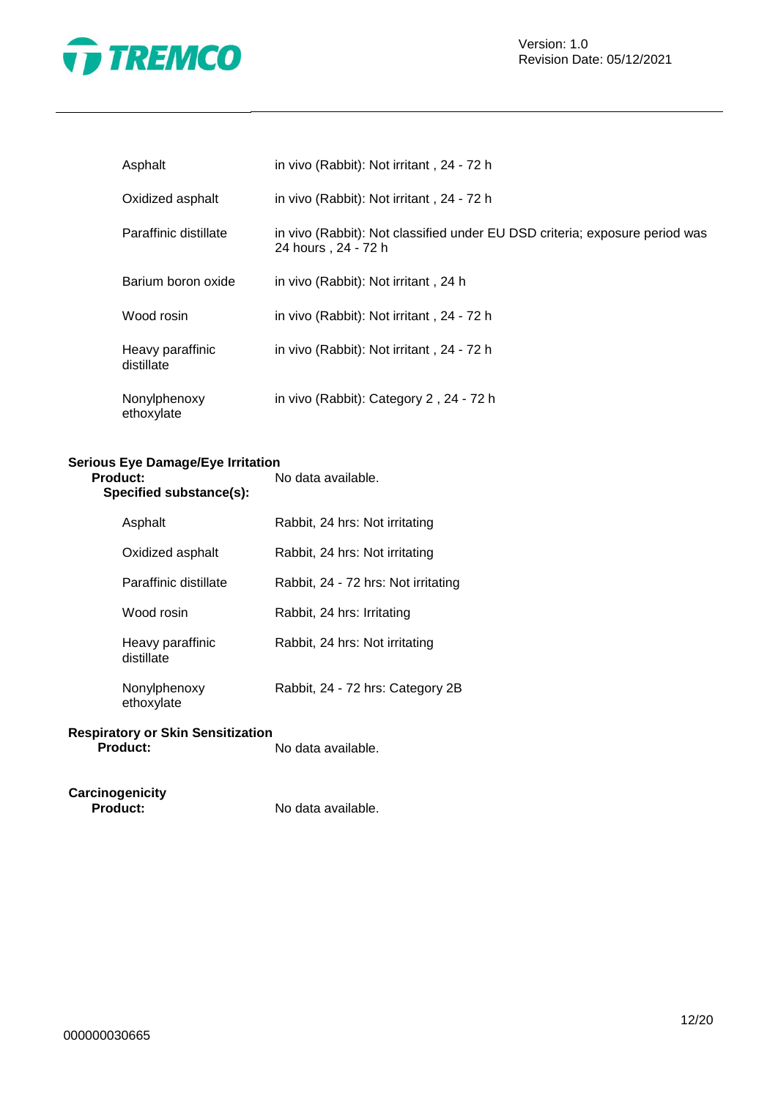

| Asphalt                        | in vivo (Rabbit): Not irritant, 24 - 72 h                                                          |
|--------------------------------|----------------------------------------------------------------------------------------------------|
| Oxidized asphalt               | in vivo (Rabbit): Not irritant, 24 - 72 h                                                          |
| Paraffinic distillate          | in vivo (Rabbit): Not classified under EU DSD criteria; exposure period was<br>24 hours, 24 - 72 h |
| Barium boron oxide             | in vivo (Rabbit): Not irritant, 24 h                                                               |
| Wood rosin                     | in vivo (Rabbit): Not irritant, 24 - 72 h                                                          |
| Heavy paraffinic<br>distillate | in vivo (Rabbit): Not irritant, 24 - 72 h                                                          |
| Nonylphenoxy<br>ethoxylate     | in vivo (Rabbit): Category 2, 24 - 72 h                                                            |

# **Serious Eye Damage/Eye Irritation**

| 'roduct:<br>Specified substance(s): | No data available.                  |
|-------------------------------------|-------------------------------------|
| Asphalt                             | Rabbit, 24 hrs: Not irritating      |
| Oxidized asphalt                    | Rabbit, 24 hrs: Not irritating      |
| Paraffinic distillate               | Rabbit, 24 - 72 hrs: Not irritating |
| Wood rosin                          | Rabbit, 24 hrs: Irritating          |
| Heavy paraffinic<br>distillate      | Rabbit, 24 hrs: Not irritating      |
| Nonylphenoxy<br>ethoxylate          | Rabbit, 24 - 72 hrs: Category 2B    |

#### **Respiratory or Skin Sensitization Product:** No data available.

**Carcinogenicity**

**Product:** No data available.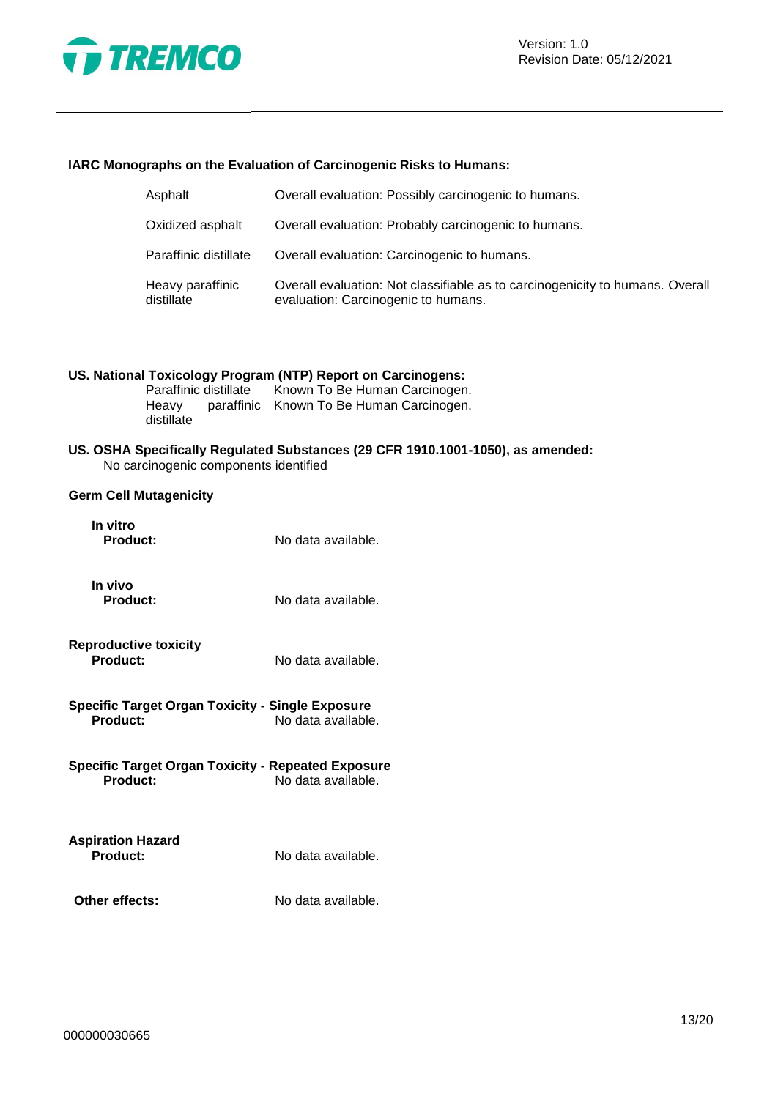

#### **IARC Monographs on the Evaluation of Carcinogenic Risks to Humans:**

| Asphalt                        | Overall evaluation: Possibly carcinogenic to humans.                                                                 |
|--------------------------------|----------------------------------------------------------------------------------------------------------------------|
| Oxidized asphalt               | Overall evaluation: Probably carcinogenic to humans.                                                                 |
| Paraffinic distillate          | Overall evaluation: Carcinogenic to humans.                                                                          |
| Heavy paraffinic<br>distillate | Overall evaluation: Not classifiable as to carcinogenicity to humans. Overall<br>evaluation: Carcinogenic to humans. |

# **US. National Toxicology Program (NTP) Report on Carcinogens:**

Known To Be Human Carcinogen. Heavy paraffinic Known To Be Human Carcinogen. distillate

#### **US. OSHA Specifically Regulated Substances (29 CFR 1910.1001-1050), as amended:** No carcinogenic components identified

### **Germ Cell Mutagenicity**

| In vitro<br><b>Product:</b>                                           | No data available. |
|-----------------------------------------------------------------------|--------------------|
| In vivo<br><b>Product:</b>                                            | No data available. |
| <b>Reproductive toxicity</b><br>Product:                              | No data available. |
| Specific Target Organ Toxicity - Single Exposure<br>Product:          | No data available. |
| <b>Specific Target Organ Toxicity - Repeated Exposure</b><br>Product: | No data available. |
| <b>Aspiration Hazard</b><br>Product:                                  | No data available. |
| Other effects:                                                        | No data available. |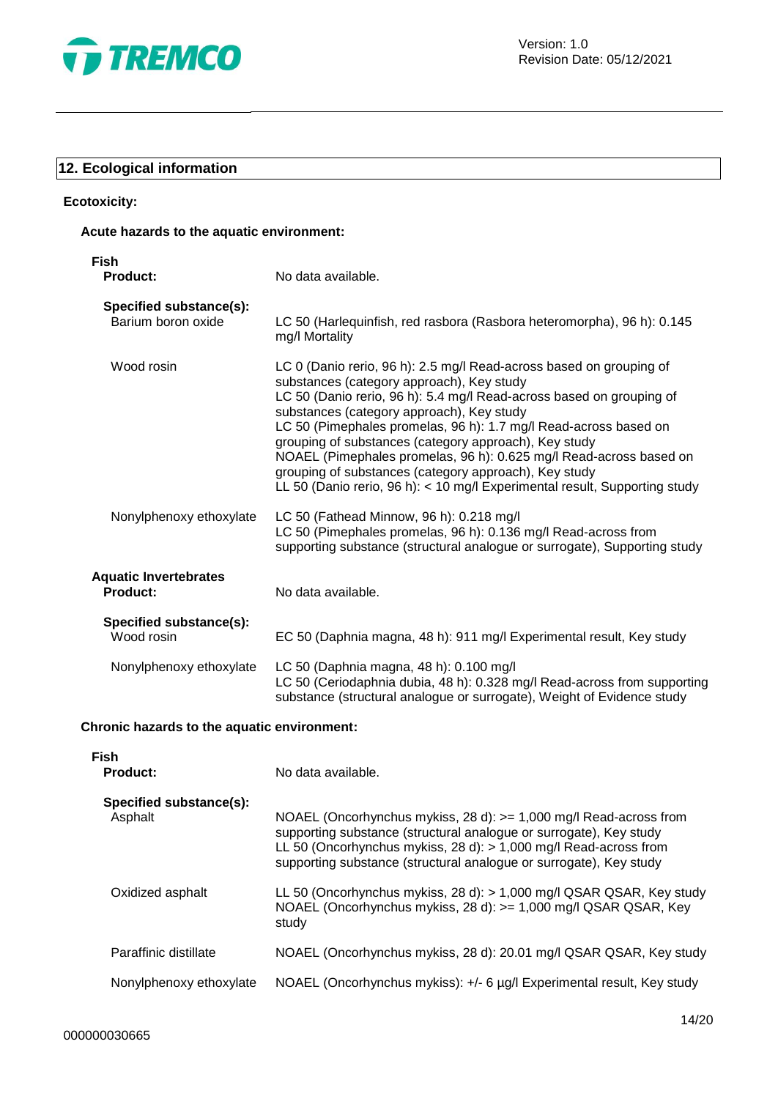

# **12. Ecological information**

# **Ecotoxicity:**

# **Acute hazards to the aquatic environment:**

| Fish<br><b>Product:</b>                         | No data available.                                                                                                                                                                                                                                                                                                                                                                                                                                                                                                                                                              |
|-------------------------------------------------|---------------------------------------------------------------------------------------------------------------------------------------------------------------------------------------------------------------------------------------------------------------------------------------------------------------------------------------------------------------------------------------------------------------------------------------------------------------------------------------------------------------------------------------------------------------------------------|
| Specified substance(s):<br>Barium boron oxide   | LC 50 (Harlequinfish, red rasbora (Rasbora heteromorpha), 96 h): 0.145<br>mg/l Mortality                                                                                                                                                                                                                                                                                                                                                                                                                                                                                        |
| Wood rosin                                      | LC 0 (Danio rerio, 96 h): 2.5 mg/l Read-across based on grouping of<br>substances (category approach), Key study<br>LC 50 (Danio rerio, 96 h): 5.4 mg/l Read-across based on grouping of<br>substances (category approach), Key study<br>LC 50 (Pimephales promelas, 96 h): 1.7 mg/l Read-across based on<br>grouping of substances (category approach), Key study<br>NOAEL (Pimephales promelas, 96 h): 0.625 mg/l Read-across based on<br>grouping of substances (category approach), Key study<br>LL 50 (Danio rerio, 96 h): < 10 mg/l Experimental result, Supporting study |
| Nonylphenoxy ethoxylate                         | LC 50 (Fathead Minnow, 96 h): 0.218 mg/l<br>LC 50 (Pimephales promelas, 96 h): 0.136 mg/l Read-across from<br>supporting substance (structural analogue or surrogate), Supporting study                                                                                                                                                                                                                                                                                                                                                                                         |
| <b>Aquatic Invertebrates</b><br><b>Product:</b> | No data available.                                                                                                                                                                                                                                                                                                                                                                                                                                                                                                                                                              |
| Specified substance(s):<br>Wood rosin           | EC 50 (Daphnia magna, 48 h): 911 mg/l Experimental result, Key study                                                                                                                                                                                                                                                                                                                                                                                                                                                                                                            |
| Nonylphenoxy ethoxylate                         | LC 50 (Daphnia magna, 48 h): 0.100 mg/l<br>LC 50 (Ceriodaphnia dubia, 48 h): 0.328 mg/l Read-across from supporting<br>substance (structural analogue or surrogate), Weight of Evidence study                                                                                                                                                                                                                                                                                                                                                                                   |

# **Chronic hazards to the aquatic environment:**

| <b>Fish</b><br><b>Product:</b>     | No data available.                                                                                                                                                                                                                                                                  |
|------------------------------------|-------------------------------------------------------------------------------------------------------------------------------------------------------------------------------------------------------------------------------------------------------------------------------------|
| Specified substance(s):<br>Asphalt | NOAEL (Oncorhynchus mykiss, 28 d): $>= 1,000$ mg/l Read-across from<br>supporting substance (structural analogue or surrogate), Key study<br>LL 50 (Oncorhynchus mykiss, 28 d): > 1,000 mg/l Read-across from<br>supporting substance (structural analogue or surrogate), Key study |
| Oxidized asphalt                   | LL 50 (Oncorhynchus mykiss, 28 d): > 1,000 mg/l QSAR QSAR, Key study<br>NOAEL (Oncorhynchus mykiss, 28 d): > = 1,000 mg/l QSAR QSAR, Key<br>study                                                                                                                                   |
| Paraffinic distillate              | NOAEL (Oncorhynchus mykiss, 28 d): 20.01 mg/l QSAR QSAR, Key study                                                                                                                                                                                                                  |
| Nonylphenoxy ethoxylate            | NOAEL (Oncorhynchus mykiss): +/- 6 µg/l Experimental result, Key study                                                                                                                                                                                                              |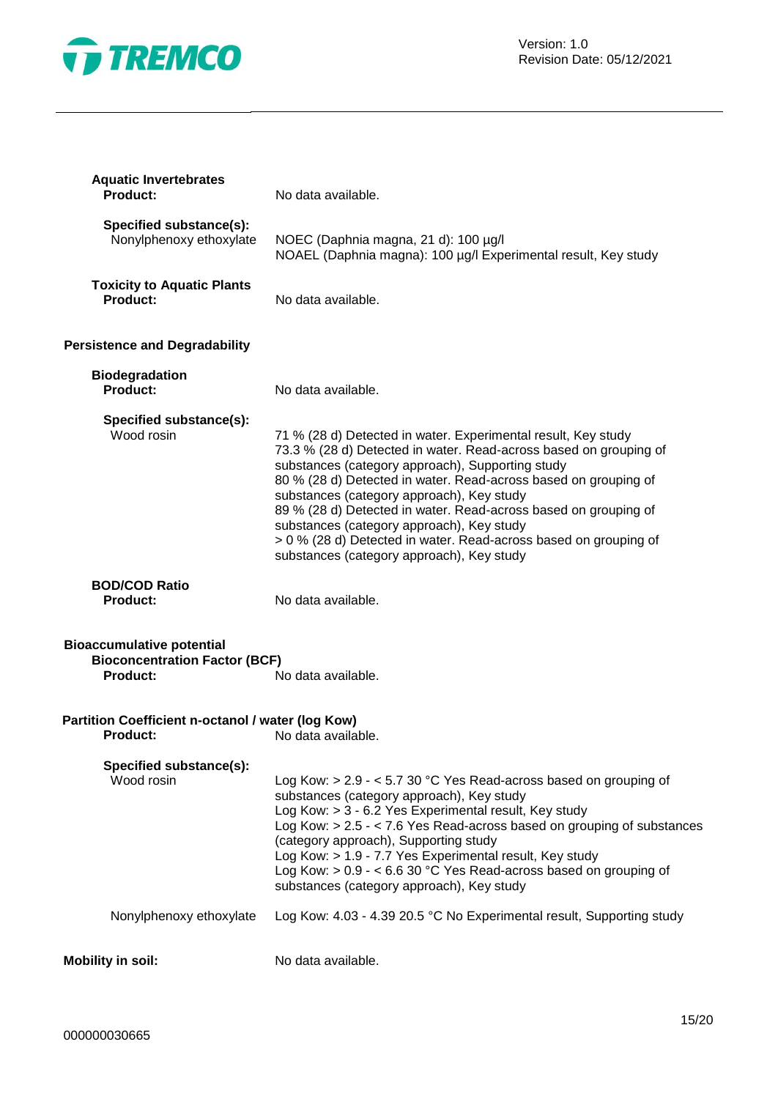

| <b>Aquatic Invertebrates</b><br><b>Product:</b>                                             | No data available.                                                                                                                                                                                                                                                                                                                                                                                                                                                                                                                      |
|---------------------------------------------------------------------------------------------|-----------------------------------------------------------------------------------------------------------------------------------------------------------------------------------------------------------------------------------------------------------------------------------------------------------------------------------------------------------------------------------------------------------------------------------------------------------------------------------------------------------------------------------------|
| Specified substance(s):<br>Nonylphenoxy ethoxylate                                          | NOEC (Daphnia magna, 21 d): 100 µg/l<br>NOAEL (Daphnia magna): 100 µg/l Experimental result, Key study                                                                                                                                                                                                                                                                                                                                                                                                                                  |
| <b>Toxicity to Aquatic Plants</b><br><b>Product:</b>                                        | No data available.                                                                                                                                                                                                                                                                                                                                                                                                                                                                                                                      |
| <b>Persistence and Degradability</b>                                                        |                                                                                                                                                                                                                                                                                                                                                                                                                                                                                                                                         |
| <b>Biodegradation</b><br><b>Product:</b>                                                    | No data available.                                                                                                                                                                                                                                                                                                                                                                                                                                                                                                                      |
| Specified substance(s):<br>Wood rosin                                                       | 71 % (28 d) Detected in water. Experimental result, Key study<br>73.3 % (28 d) Detected in water. Read-across based on grouping of<br>substances (category approach), Supporting study<br>80 % (28 d) Detected in water. Read-across based on grouping of<br>substances (category approach), Key study<br>89 % (28 d) Detected in water. Read-across based on grouping of<br>substances (category approach), Key study<br>> 0 % (28 d) Detected in water. Read-across based on grouping of<br>substances (category approach), Key study |
| <b>BOD/COD Ratio</b><br><b>Product:</b>                                                     | No data available.                                                                                                                                                                                                                                                                                                                                                                                                                                                                                                                      |
| <b>Bioaccumulative potential</b><br><b>Bioconcentration Factor (BCF)</b><br><b>Product:</b> | No data available.                                                                                                                                                                                                                                                                                                                                                                                                                                                                                                                      |
| Partition Coefficient n-octanol / water (log Kow)<br>Product:                               | No data available.                                                                                                                                                                                                                                                                                                                                                                                                                                                                                                                      |
| Specified substance(s):<br>Wood rosin                                                       | Log Kow: > 2.9 - < 5.7 30 °C Yes Read-across based on grouping of<br>substances (category approach), Key study<br>Log Kow: > 3 - 6.2 Yes Experimental result, Key study<br>Log Kow: $> 2.5 - < 7.6$ Yes Read-across based on grouping of substances<br>(category approach), Supporting study<br>Log Kow: > 1.9 - 7.7 Yes Experimental result, Key study<br>Log Kow: > 0.9 - < 6.6 30 °C Yes Read-across based on grouping of<br>substances (category approach), Key study                                                               |
| Nonylphenoxy ethoxylate                                                                     | Log Kow: 4.03 - 4.39 20.5 °C No Experimental result, Supporting study                                                                                                                                                                                                                                                                                                                                                                                                                                                                   |
| <b>Mobility in soil:</b>                                                                    | No data available.                                                                                                                                                                                                                                                                                                                                                                                                                                                                                                                      |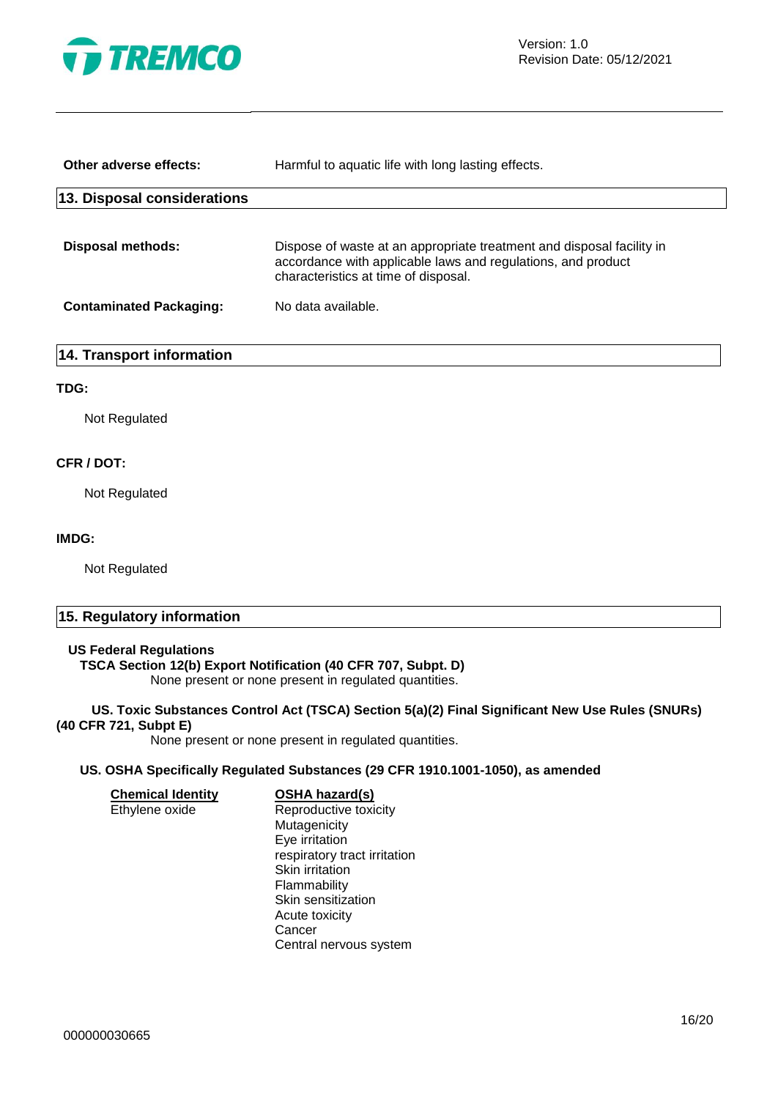

Version: 1.0 Revision Date: 05/12/2021

| Other adverse effects:         | Harmful to aquatic life with long lasting effects.                                                                                                                            |
|--------------------------------|-------------------------------------------------------------------------------------------------------------------------------------------------------------------------------|
| 13. Disposal considerations    |                                                                                                                                                                               |
| Disposal methods:              | Dispose of waste at an appropriate treatment and disposal facility in<br>accordance with applicable laws and regulations, and product<br>characteristics at time of disposal. |
| <b>Contaminated Packaging:</b> | No data available.                                                                                                                                                            |
|                                |                                                                                                                                                                               |

### **14. Transport information**

#### **TDG:**

Not Regulated

#### **CFR / DOT:**

Not Regulated

#### **IMDG:**

Not Regulated

# **15. Regulatory information**

# **US Federal Regulations**

# **TSCA Section 12(b) Export Notification (40 CFR 707, Subpt. D)**

None present or none present in regulated quantities.

#### **US. Toxic Substances Control Act (TSCA) Section 5(a)(2) Final Significant New Use Rules (SNURs) (40 CFR 721, Subpt E)**

None present or none present in regulated quantities.

## **US. OSHA Specifically Regulated Substances (29 CFR 1910.1001-1050), as amended**

| <b>Chemical Identity</b> | <b>OSHA hazard(s)</b>        |
|--------------------------|------------------------------|
| Ethylene oxide           | Reproductive toxicity        |
|                          | Mutagenicity                 |
|                          | Eye irritation               |
|                          | respiratory tract irritation |
|                          | Skin irritation              |
|                          | Flammability                 |
|                          | Skin sensitization           |
|                          | Acute toxicity               |
|                          | Cancer                       |
|                          | Central nervous system       |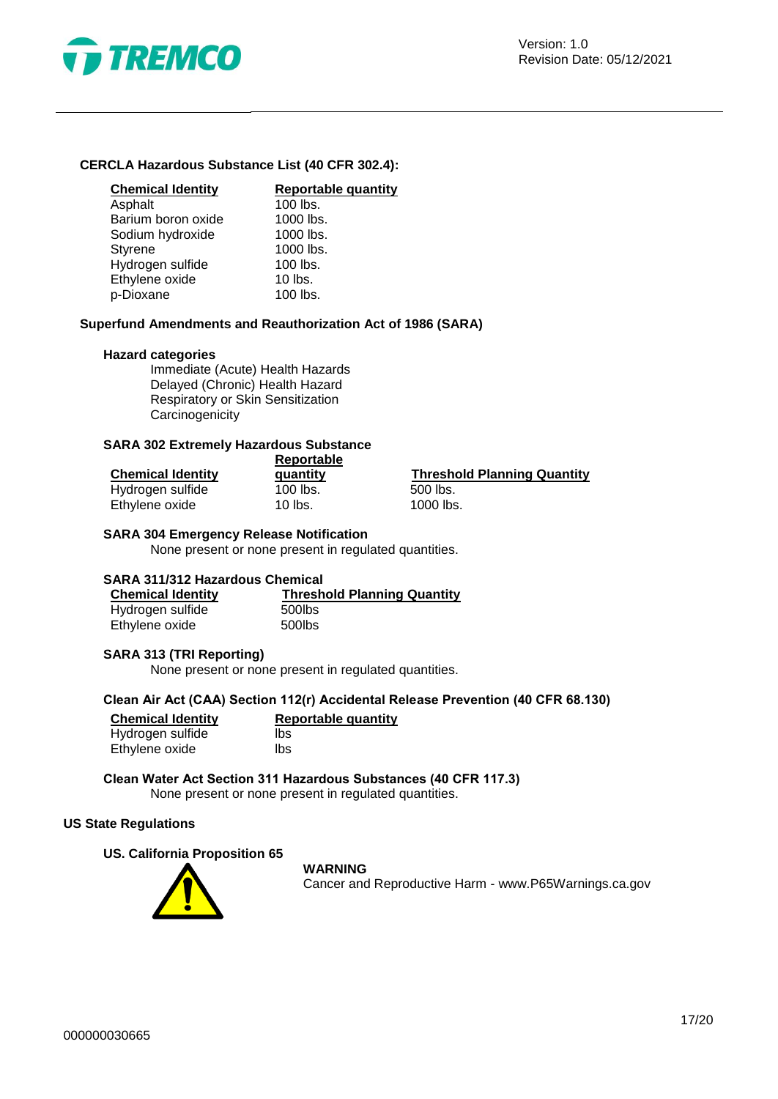

## **CERCLA Hazardous Substance List (40 CFR 302.4):**

| <b>Chemical Identity</b> |
|--------------------------|
| Asphalt                  |
| Barium boron oxide       |
| Sodium hydroxide         |
| <b>Styrene</b>           |
| Hydrogen sulfide         |
| Ethylene oxide           |
| p-Dioxane                |

# **Chemical Identity Reportable quantity**

 $100$  lbs.  $1000$  lbs. 1000 lbs. 1000 lbs. 100 lbs. 10 lbs. 100 lbs.

#### **Superfund Amendments and Reauthorization Act of 1986 (SARA)**

#### **Hazard categories**

Immediate (Acute) Health Hazards Delayed (Chronic) Health Hazard Respiratory or Skin Sensitization **Carcinogenicity** 

#### **SARA 302 Extremely Hazardous Substance**

|                          | Reportable |                                    |  |  |
|--------------------------|------------|------------------------------------|--|--|
| <b>Chemical Identity</b> | quantity   | <b>Threshold Planning Quantity</b> |  |  |
| Hydrogen sulfide         | 100 lbs.   | 500 lbs.                           |  |  |
| Ethylene oxide           | 10 lbs.    | 1000 lbs.                          |  |  |

#### **SARA 304 Emergency Release Notification**

None present or none present in regulated quantities.

#### **SARA 311/312 Hazardous Chemical**

| <b>Chemical Identity</b> | <b>Threshold Planning Quantity</b> |
|--------------------------|------------------------------------|
| Hydrogen sulfide         | 500lbs                             |
| Ethylene oxide           | 500lbs                             |

#### **SARA 313 (TRI Reporting)**

None present or none present in regulated quantities.

#### **Clean Air Act (CAA) Section 112(r) Accidental Release Prevention (40 CFR 68.130)**

| <b>Chemical Identity</b> | <b>Reportable quantity</b> |
|--------------------------|----------------------------|
| Hydrogen sulfide         | lbs                        |
| Ethylene oxide           | lbs                        |

**Clean Water Act Section 311 Hazardous Substances (40 CFR 117.3)** None present or none present in regulated quantities.

#### **US State Regulations**

#### **US. California Proposition 65**



#### **WARNING**

Cancer and Reproductive Harm - www.P65Warnings.ca.gov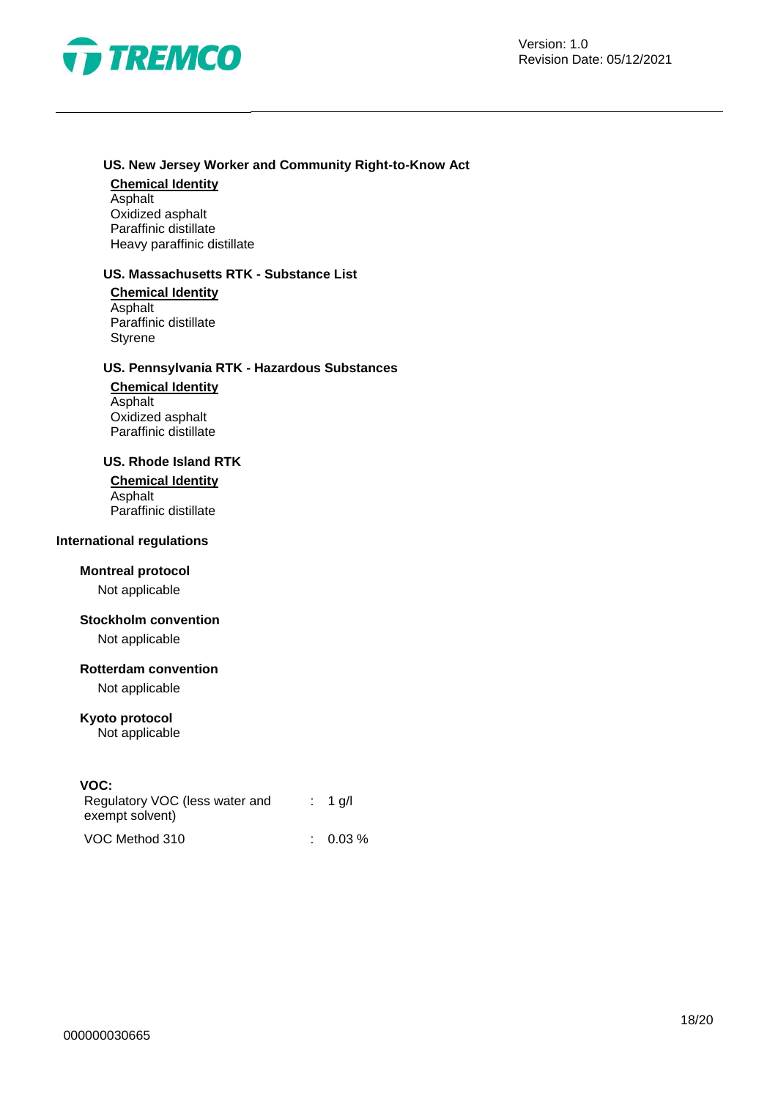

## **US. New Jersey Worker and Community Right-to-Know Act**

# **Chemical Identity Asphalt**

Oxidized asphalt Paraffinic distillate Heavy paraffinic distillate

# **US. Massachusetts RTK - Substance List**

**Chemical Identity** Asphalt Paraffinic distillate **Styrene** 

# **US. Pennsylvania RTK - Hazardous Substances**

**Chemical Identity** Asphalt Oxidized asphalt Paraffinic distillate

#### **US. Rhode Island RTK**

**Chemical Identity Asphalt** Paraffinic distillate

## **International regulations**

## **Montreal protocol**

Not applicable

#### **Stockholm convention**

Not applicable

## **Rotterdam convention**

Not applicable

## **Kyoto protocol**

Not applicable

## **VOC:**

| Regulatory VOC (less water and<br>exempt solvent) | $: 1$ q/l           |
|---------------------------------------------------|---------------------|
| VOC Method 310                                    | $\therefore$ 0.03 % |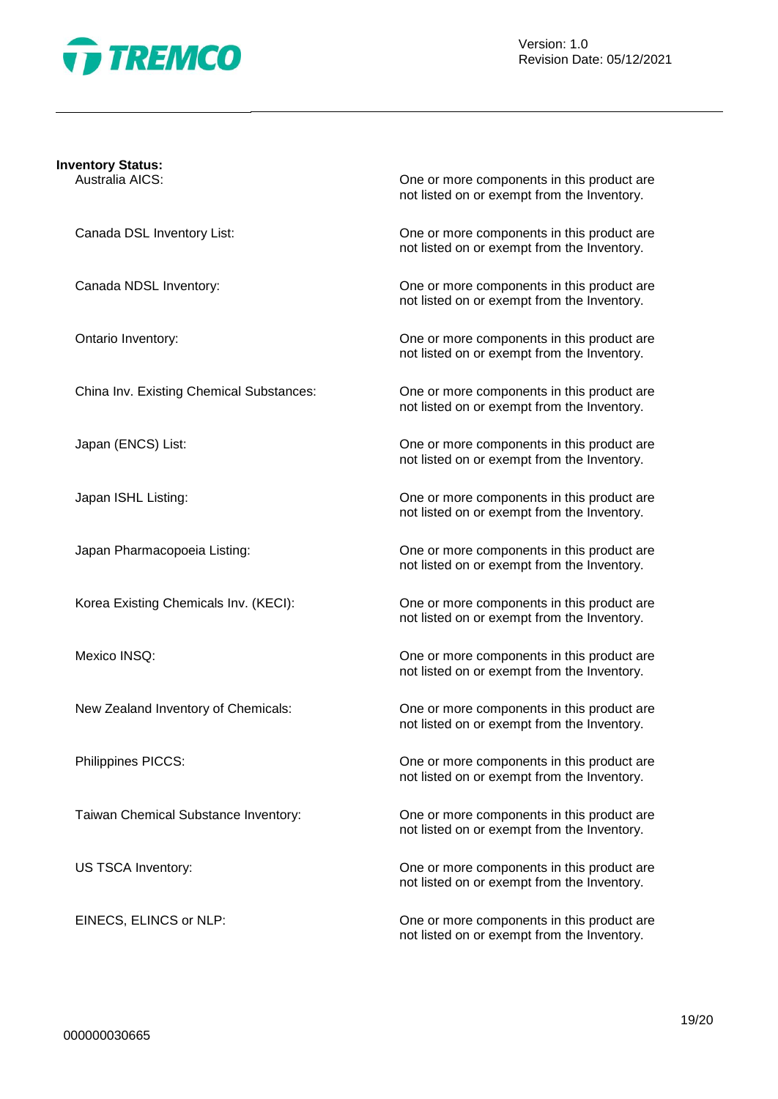

Version: 1.0 Revision Date: 05/12/2021

#### **Inventory Status:**

Australia AICS: One or more components in this product are not listed on or exempt from the Inventory.

Canada DSL Inventory List: One or more components in this product are not listed on or exempt from the Inventory.

Canada NDSL Inventory: One or more components in this product are not listed on or exempt from the Inventory.

Ontario Inventory: One or more components in this product are not listed on or exempt from the Inventory.

China Inv. Existing Chemical Substances: One or more components in this product are not listed on or exempt from the Inventory.

Japan (ENCS) List: One or more components in this product are not listed on or exempt from the Inventory.

Japan ISHL Listing: One or more components in this product are not listed on or exempt from the Inventory.

Japan Pharmacopoeia Listing: One or more components in this product are not listed on or exempt from the Inventory.

Korea Existing Chemicals Inv. (KECI): One or more components in this product are not listed on or exempt from the Inventory.

Mexico INSQ: One or more components in this product are not listed on or exempt from the Inventory.

New Zealand Inventory of Chemicals: One or more components in this product are not listed on or exempt from the Inventory.

Philippines PICCS: One or more components in this product are not listed on or exempt from the Inventory.

Taiwan Chemical Substance Inventory: One or more components in this product are not listed on or exempt from the Inventory.

US TSCA Inventory: One or more components in this product are not listed on or exempt from the Inventory.

EINECS, ELINCS or NLP: CHE CONSERVIATE: One or more components in this product are not listed on or exempt from the Inventory.